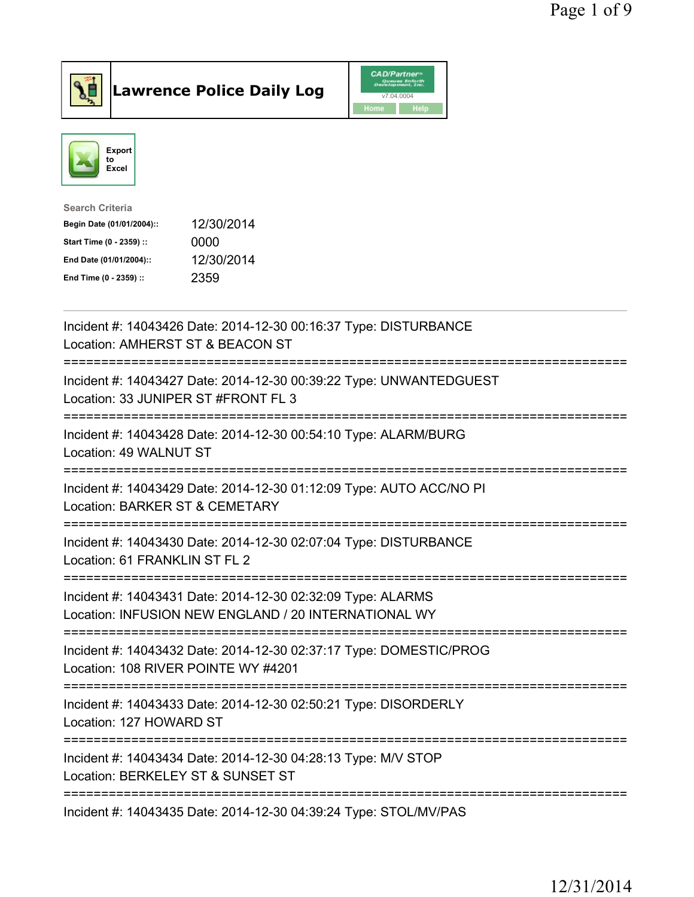



| <b>Search Criteria</b>    |            |
|---------------------------|------------|
| Begin Date (01/01/2004):: | 12/30/2014 |
| Start Time (0 - 2359) ::  | 0000       |
| End Date (01/01/2004)::   | 12/30/2014 |
| End Time (0 - 2359) ::    | 2359       |

| Incident #: 14043426 Date: 2014-12-30 00:16:37 Type: DISTURBANCE<br>Location: AMHERST ST & BEACON ST                           |
|--------------------------------------------------------------------------------------------------------------------------------|
| Incident #: 14043427 Date: 2014-12-30 00:39:22 Type: UNWANTEDGUEST<br>Location: 33 JUNIPER ST #FRONT FL 3                      |
| Incident #: 14043428 Date: 2014-12-30 00:54:10 Type: ALARM/BURG<br>Location: 49 WALNUT ST<br>=================                 |
| Incident #: 14043429 Date: 2014-12-30 01:12:09 Type: AUTO ACC/NO PI<br>Location: BARKER ST & CEMETARY<br>--------------------- |
| Incident #: 14043430 Date: 2014-12-30 02:07:04 Type: DISTURBANCE<br>Location: 61 FRANKLIN ST FL 2                              |
| Incident #: 14043431 Date: 2014-12-30 02:32:09 Type: ALARMS<br>Location: INFUSION NEW ENGLAND / 20 INTERNATIONAL WY            |
| Incident #: 14043432 Date: 2014-12-30 02:37:17 Type: DOMESTIC/PROG<br>Location: 108 RIVER POINTE WY #4201                      |
| Incident #: 14043433 Date: 2014-12-30 02:50:21 Type: DISORDERLY<br>Location: 127 HOWARD ST                                     |
| -------------<br>Incident #: 14043434 Date: 2014-12-30 04:28:13 Type: M/V STOP<br>Location: BERKELEY ST & SUNSET ST            |
| Incident #: 14043435 Date: 2014-12-30 04:39:24 Type: STOL/MV/PAS                                                               |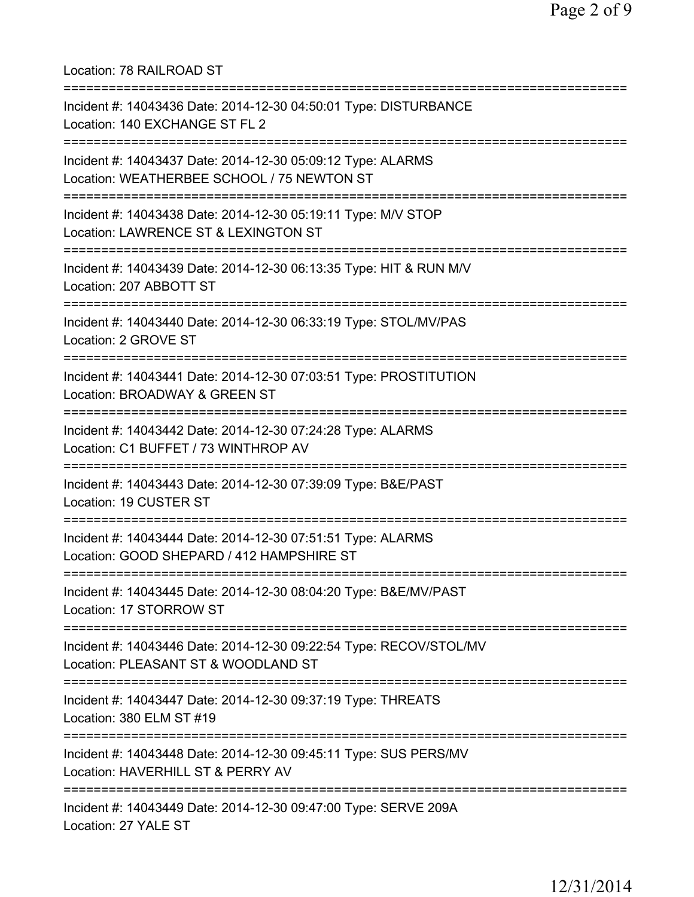| Location: 78 RAILROAD ST<br>===================================                                                                       |
|---------------------------------------------------------------------------------------------------------------------------------------|
| Incident #: 14043436 Date: 2014-12-30 04:50:01 Type: DISTURBANCE<br>Location: 140 EXCHANGE ST FL 2<br>=============================== |
| Incident #: 14043437 Date: 2014-12-30 05:09:12 Type: ALARMS<br>Location: WEATHERBEE SCHOOL / 75 NEWTON ST                             |
| Incident #: 14043438 Date: 2014-12-30 05:19:11 Type: M/V STOP<br>Location: LAWRENCE ST & LEXINGTON ST                                 |
| Incident #: 14043439 Date: 2014-12-30 06:13:35 Type: HIT & RUN M/V<br>Location: 207 ABBOTT ST                                         |
| Incident #: 14043440 Date: 2014-12-30 06:33:19 Type: STOL/MV/PAS<br>Location: 2 GROVE ST                                              |
| Incident #: 14043441 Date: 2014-12-30 07:03:51 Type: PROSTITUTION<br>Location: BROADWAY & GREEN ST<br>============================    |
| Incident #: 14043442 Date: 2014-12-30 07:24:28 Type: ALARMS<br>Location: C1 BUFFET / 73 WINTHROP AV                                   |
| Incident #: 14043443 Date: 2014-12-30 07:39:09 Type: B&E/PAST<br>Location: 19 CUSTER ST                                               |
| Incident #: 14043444 Date: 2014-12-30 07:51:51 Type: ALARMS<br>Location: GOOD SHEPARD / 412 HAMPSHIRE ST                              |
| Incident #: 14043445 Date: 2014-12-30 08:04:20 Type: B&E/MV/PAST<br>Location: 17 STORROW ST                                           |
| -------------------<br>Incident #: 14043446 Date: 2014-12-30 09:22:54 Type: RECOV/STOL/MV<br>Location: PLEASANT ST & WOODLAND ST      |
| Incident #: 14043447 Date: 2014-12-30 09:37:19 Type: THREATS<br>Location: 380 ELM ST #19                                              |
| Incident #: 14043448 Date: 2014-12-30 09:45:11 Type: SUS PERS/MV<br>Location: HAVERHILL ST & PERRY AV                                 |
| Incident #: 14043449 Date: 2014-12-30 09:47:00 Type: SERVE 209A<br>Location: 27 YALE ST                                               |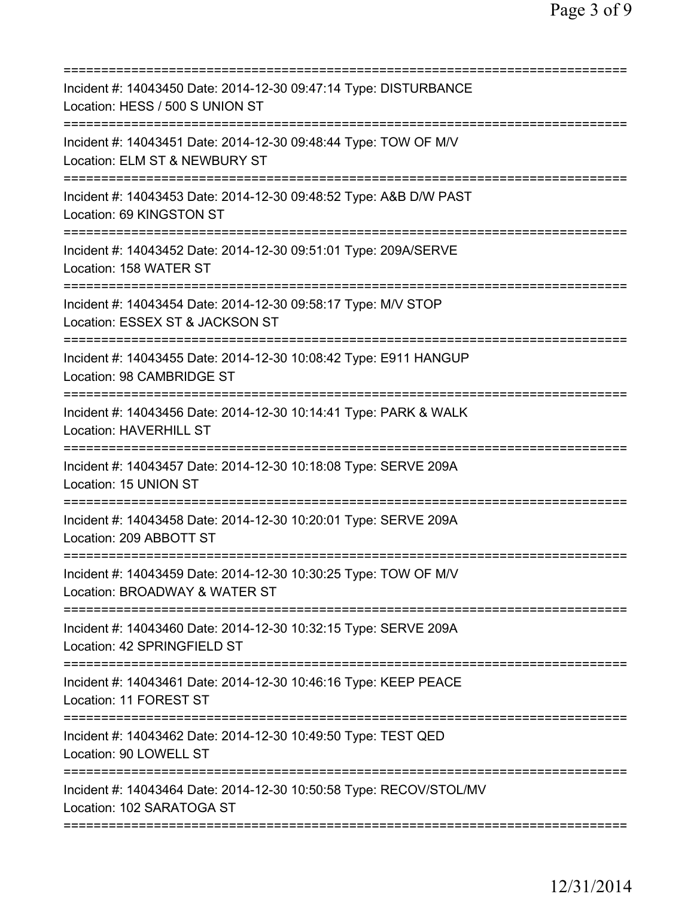| Incident #: 14043450 Date: 2014-12-30 09:47:14 Type: DISTURBANCE<br>Location: HESS / 500 S UNION ST<br>======================= |
|--------------------------------------------------------------------------------------------------------------------------------|
| Incident #: 14043451 Date: 2014-12-30 09:48:44 Type: TOW OF M/V<br>Location: ELM ST & NEWBURY ST                               |
| Incident #: 14043453 Date: 2014-12-30 09:48:52 Type: A&B D/W PAST<br>Location: 69 KINGSTON ST                                  |
| Incident #: 14043452 Date: 2014-12-30 09:51:01 Type: 209A/SERVE<br>Location: 158 WATER ST                                      |
| =============<br>Incident #: 14043454 Date: 2014-12-30 09:58:17 Type: M/V STOP<br>Location: ESSEX ST & JACKSON ST              |
| Incident #: 14043455 Date: 2014-12-30 10:08:42 Type: E911 HANGUP<br>Location: 98 CAMBRIDGE ST                                  |
| Incident #: 14043456 Date: 2014-12-30 10:14:41 Type: PARK & WALK<br><b>Location: HAVERHILL ST</b>                              |
| Incident #: 14043457 Date: 2014-12-30 10:18:08 Type: SERVE 209A<br>Location: 15 UNION ST                                       |
| Incident #: 14043458 Date: 2014-12-30 10:20:01 Type: SERVE 209A<br>Location: 209 ABBOTT ST                                     |
| Incident #: 14043459 Date: 2014-12-30 10:30:25 Type: TOW OF M/V<br>Location: BROADWAY & WATER ST                               |
| Incident #: 14043460 Date: 2014-12-30 10:32:15 Type: SERVE 209A<br>Location: 42 SPRINGFIELD ST                                 |
| Incident #: 14043461 Date: 2014-12-30 10:46:16 Type: KEEP PEACE<br>Location: 11 FOREST ST                                      |
| Incident #: 14043462 Date: 2014-12-30 10:49:50 Type: TEST QED<br>Location: 90 LOWELL ST                                        |
| Incident #: 14043464 Date: 2014-12-30 10:50:58 Type: RECOV/STOL/MV<br>Location: 102 SARATOGA ST                                |
|                                                                                                                                |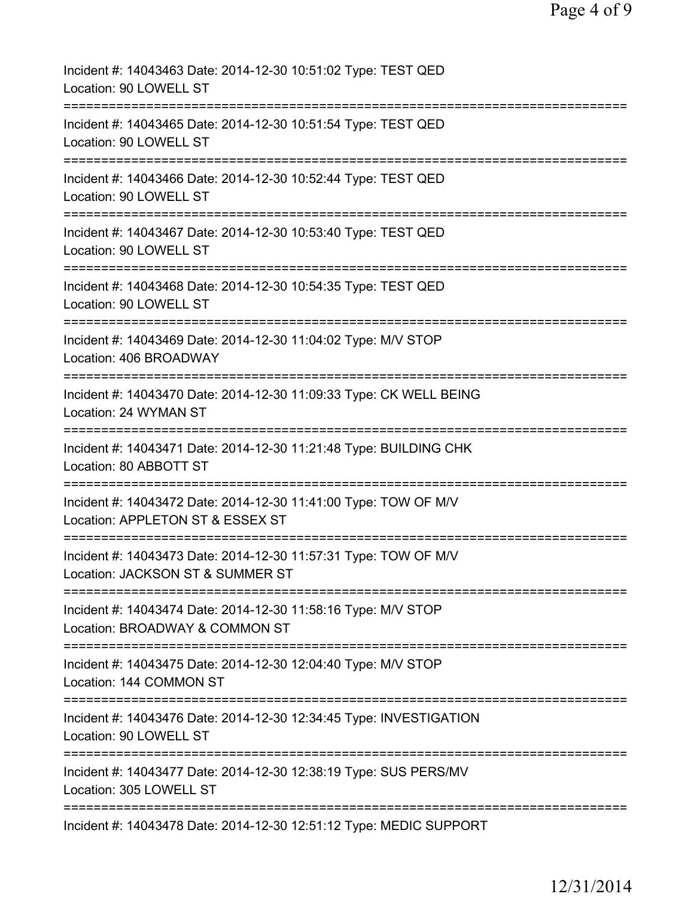| Incident #: 14043463 Date: 2014-12-30 10:51:02 Type: TEST QED<br>Location: 90 LOWELL ST                                                      |
|----------------------------------------------------------------------------------------------------------------------------------------------|
| Incident #: 14043465 Date: 2014-12-30 10:51:54 Type: TEST QED<br>Location: 90 LOWELL ST                                                      |
| Incident #: 14043466 Date: 2014-12-30 10:52:44 Type: TEST QED<br>Location: 90 LOWELL ST                                                      |
| Incident #: 14043467 Date: 2014-12-30 10:53:40 Type: TEST QED<br>Location: 90 LOWELL ST                                                      |
| Incident #: 14043468 Date: 2014-12-30 10:54:35 Type: TEST QED<br>Location: 90 LOWELL ST                                                      |
| Incident #: 14043469 Date: 2014-12-30 11:04:02 Type: M/V STOP<br>Location: 406 BROADWAY                                                      |
| Incident #: 14043470 Date: 2014-12-30 11:09:33 Type: CK WELL BEING<br>Location: 24 WYMAN ST                                                  |
| Incident #: 14043471 Date: 2014-12-30 11:21:48 Type: BUILDING CHK<br>Location: 80 ABBOTT ST                                                  |
| ;====================================<br>Incident #: 14043472 Date: 2014-12-30 11:41:00 Type: TOW OF M/V<br>Location: APPLETON ST & ESSEX ST |
| =================<br>Incident #: 14043473 Date: 2014-12-30 11:57:31 Type: TOW OF M/V<br>Location: JACKSON ST & SUMMER ST                     |
| Incident #: 14043474 Date: 2014-12-30 11:58:16 Type: M/V STOP<br>Location: BROADWAY & COMMON ST                                              |
| Incident #: 14043475 Date: 2014-12-30 12:04:40 Type: M/V STOP<br>Location: 144 COMMON ST                                                     |
| Incident #: 14043476 Date: 2014-12-30 12:34:45 Type: INVESTIGATION<br>Location: 90 LOWELL ST                                                 |
| Incident #: 14043477 Date: 2014-12-30 12:38:19 Type: SUS PERS/MV<br>Location: 305 LOWELL ST                                                  |
| Incident #: 14043478 Date: 2014-12-30 12:51:12 Type: MEDIC SUPPORT                                                                           |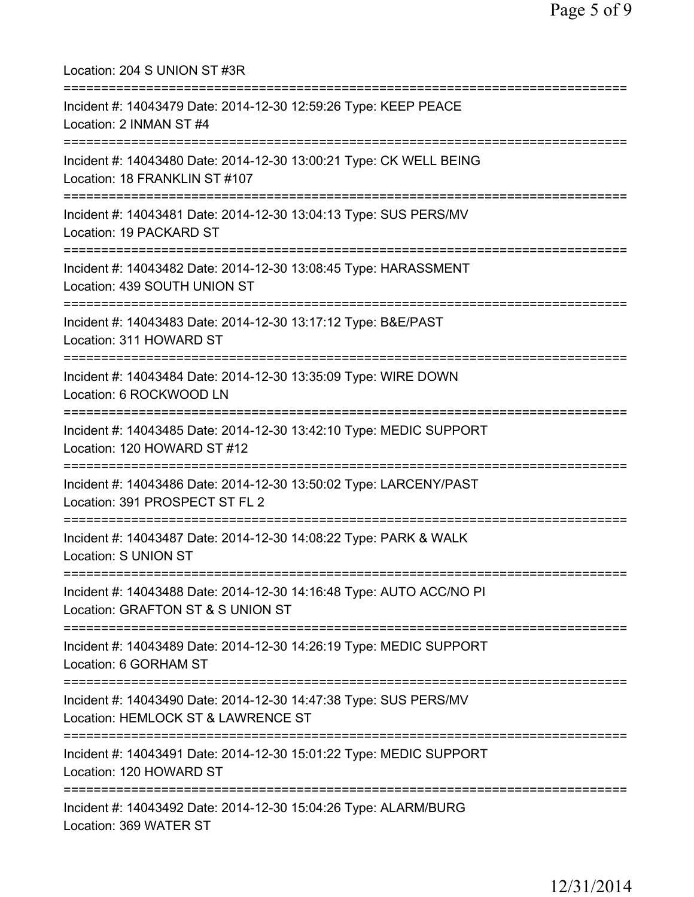| Location: 204 S UNION ST #3R<br>=======================                                                                                    |
|--------------------------------------------------------------------------------------------------------------------------------------------|
| Incident #: 14043479 Date: 2014-12-30 12:59:26 Type: KEEP PEACE<br>Location: 2 INMAN ST #4<br>========================                     |
| Incident #: 14043480 Date: 2014-12-30 13:00:21 Type: CK WELL BEING<br>Location: 18 FRANKLIN ST #107<br>=================================   |
| Incident #: 14043481 Date: 2014-12-30 13:04:13 Type: SUS PERS/MV<br>Location: 19 PACKARD ST                                                |
| ===================================<br>Incident #: 14043482 Date: 2014-12-30 13:08:45 Type: HARASSMENT<br>Location: 439 SOUTH UNION ST     |
| ;===================================<br>Incident #: 14043483 Date: 2014-12-30 13:17:12 Type: B&E/PAST<br>Location: 311 HOWARD ST           |
| Incident #: 14043484 Date: 2014-12-30 13:35:09 Type: WIRE DOWN<br>Location: 6 ROCKWOOD LN                                                  |
| Incident #: 14043485 Date: 2014-12-30 13:42:10 Type: MEDIC SUPPORT<br>Location: 120 HOWARD ST #12                                          |
| Incident #: 14043486 Date: 2014-12-30 13:50:02 Type: LARCENY/PAST<br>Location: 391 PROSPECT ST FL 2                                        |
| Incident #: 14043487 Date: 2014-12-30 14:08:22 Type: PARK & WALK<br><b>Location: S UNION ST</b>                                            |
| ==============================<br>Incident #: 14043488 Date: 2014-12-30 14:16:48 Type: AUTO ACC/NO PI<br>Location: GRAFTON ST & S UNION ST |
| Incident #: 14043489 Date: 2014-12-30 14:26:19 Type: MEDIC SUPPORT<br>Location: 6 GORHAM ST                                                |
| Incident #: 14043490 Date: 2014-12-30 14:47:38 Type: SUS PERS/MV<br>Location: HEMLOCK ST & LAWRENCE ST                                     |
| Incident #: 14043491 Date: 2014-12-30 15:01:22 Type: MEDIC SUPPORT<br>Location: 120 HOWARD ST                                              |
| ===========<br>Incident #: 14043492 Date: 2014-12-30 15:04:26 Type: ALARM/BURG<br>Location: 369 WATER ST                                   |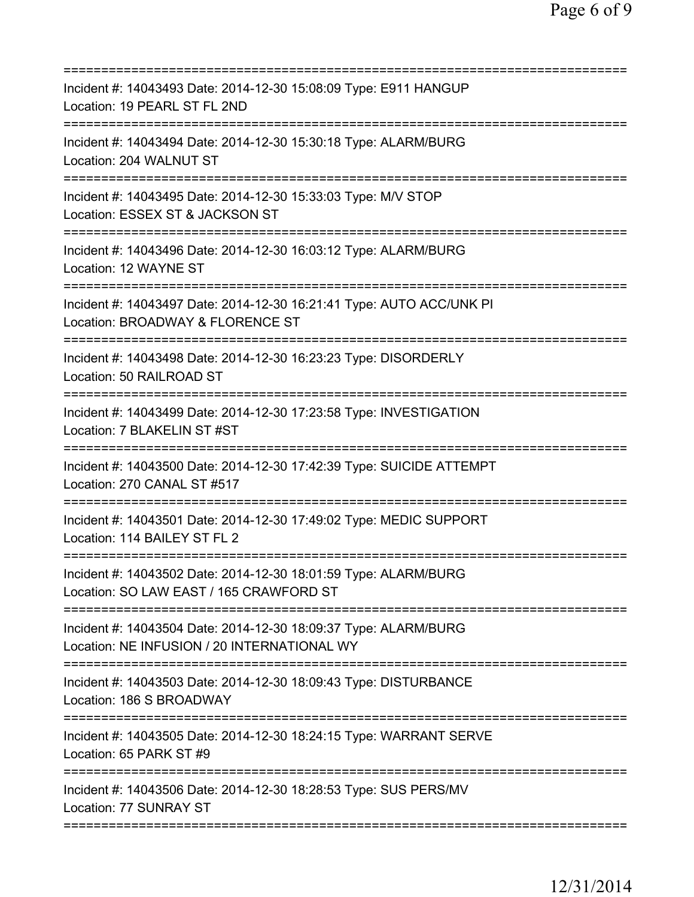| Incident #: 14043493 Date: 2014-12-30 15:08:09 Type: E911 HANGUP<br>Location: 19 PEARL ST FL 2ND<br>===============<br>===================== |
|----------------------------------------------------------------------------------------------------------------------------------------------|
| Incident #: 14043494 Date: 2014-12-30 15:30:18 Type: ALARM/BURG<br>Location: 204 WALNUT ST                                                   |
| Incident #: 14043495 Date: 2014-12-30 15:33:03 Type: M/V STOP<br>Location: ESSEX ST & JACKSON ST                                             |
| Incident #: 14043496 Date: 2014-12-30 16:03:12 Type: ALARM/BURG<br>Location: 12 WAYNE ST                                                     |
| Incident #: 14043497 Date: 2014-12-30 16:21:41 Type: AUTO ACC/UNK PI<br>Location: BROADWAY & FLORENCE ST                                     |
| =========================<br>Incident #: 14043498 Date: 2014-12-30 16:23:23 Type: DISORDERLY<br>Location: 50 RAILROAD ST                     |
| Incident #: 14043499 Date: 2014-12-30 17:23:58 Type: INVESTIGATION<br>Location: 7 BLAKELIN ST #ST                                            |
| Incident #: 14043500 Date: 2014-12-30 17:42:39 Type: SUICIDE ATTEMPT<br>Location: 270 CANAL ST #517                                          |
| Incident #: 14043501 Date: 2014-12-30 17:49:02 Type: MEDIC SUPPORT<br>Location: 114 BAILEY ST FL 2                                           |
| Incident #: 14043502 Date: 2014-12-30 18:01:59 Type: ALARM/BURG<br>Location: SO LAW EAST / 165 CRAWFORD ST                                   |
| Incident #: 14043504 Date: 2014-12-30 18:09:37 Type: ALARM/BURG<br>Location: NE INFUSION / 20 INTERNATIONAL WY                               |
| Incident #: 14043503 Date: 2014-12-30 18:09:43 Type: DISTURBANCE<br>Location: 186 S BROADWAY                                                 |
| Incident #: 14043505 Date: 2014-12-30 18:24:15 Type: WARRANT SERVE<br>Location: 65 PARK ST #9                                                |
| Incident #: 14043506 Date: 2014-12-30 18:28:53 Type: SUS PERS/MV<br>Location: 77 SUNRAY ST                                                   |
|                                                                                                                                              |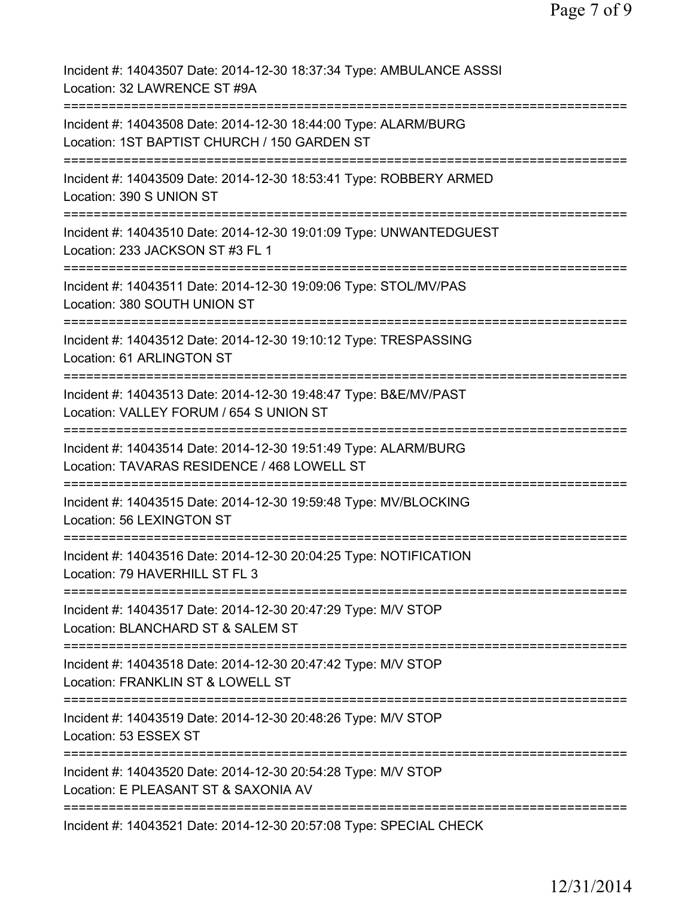| Incident #: 14043507 Date: 2014-12-30 18:37:34 Type: AMBULANCE ASSSI<br>Location: 32 LAWRENCE ST #9A                                         |
|----------------------------------------------------------------------------------------------------------------------------------------------|
| Incident #: 14043508 Date: 2014-12-30 18:44:00 Type: ALARM/BURG<br>Location: 1ST BAPTIST CHURCH / 150 GARDEN ST                              |
| Incident #: 14043509 Date: 2014-12-30 18:53:41 Type: ROBBERY ARMED<br>Location: 390 S UNION ST                                               |
| Incident #: 14043510 Date: 2014-12-30 19:01:09 Type: UNWANTEDGUEST<br>Location: 233 JACKSON ST #3 FL 1                                       |
| Incident #: 14043511 Date: 2014-12-30 19:09:06 Type: STOL/MV/PAS<br>Location: 380 SOUTH UNION ST                                             |
| Incident #: 14043512 Date: 2014-12-30 19:10:12 Type: TRESPASSING<br>Location: 61 ARLINGTON ST<br>=================================           |
| Incident #: 14043513 Date: 2014-12-30 19:48:47 Type: B&E/MV/PAST<br>Location: VALLEY FORUM / 654 S UNION ST<br>:============================ |
| Incident #: 14043514 Date: 2014-12-30 19:51:49 Type: ALARM/BURG<br>Location: TAVARAS RESIDENCE / 468 LOWELL ST                               |
| Incident #: 14043515 Date: 2014-12-30 19:59:48 Type: MV/BLOCKING<br>Location: 56 LEXINGTON ST                                                |
| Incident #: 14043516 Date: 2014-12-30 20:04:25 Type: NOTIFICATION<br>Location: 79 HAVERHILL ST FL 3                                          |
| Incident #: 14043517 Date: 2014-12-30 20:47:29 Type: M/V STOP<br>Location: BLANCHARD ST & SALEM ST                                           |
| Incident #: 14043518 Date: 2014-12-30 20:47:42 Type: M/V STOP<br>Location: FRANKLIN ST & LOWELL ST<br>=========================              |
| Incident #: 14043519 Date: 2014-12-30 20:48:26 Type: M/V STOP<br>Location: 53 ESSEX ST                                                       |
| Incident #: 14043520 Date: 2014-12-30 20:54:28 Type: M/V STOP<br>Location: E PLEASANT ST & SAXONIA AV                                        |
| Incident #: 14043521 Date: 2014-12-30 20:57:08 Type: SPECIAL CHECK                                                                           |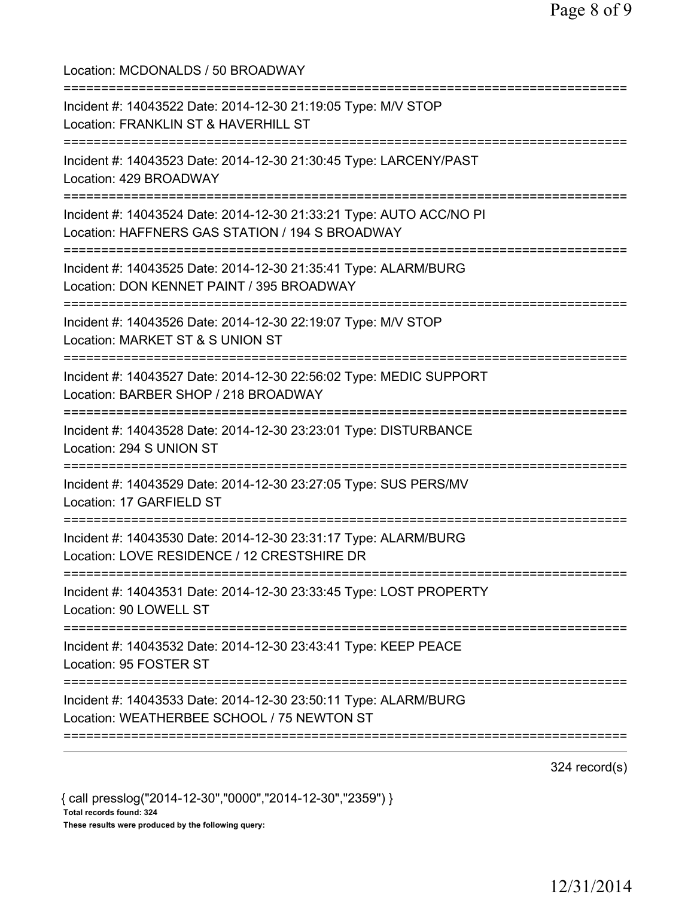Location: MCDONALDS / 50 BROADWAY =========================================================================== Incident #: 14043522 Date: 2014-12-30 21:19:05 Type: M/V STOP Location: FRANKLIN ST & HAVERHILL ST =========================================================================== Incident #: 14043523 Date: 2014-12-30 21:30:45 Type: LARCENY/PAST Location: 429 BROADWAY =========================================================================== Incident #: 14043524 Date: 2014-12-30 21:33:21 Type: AUTO ACC/NO PI Location: HAFFNERS GAS STATION / 194 S BROADWAY =========================================================================== Incident #: 14043525 Date: 2014-12-30 21:35:41 Type: ALARM/BURG Location: DON KENNET PAINT / 395 BROADWAY =========================================================================== Incident #: 14043526 Date: 2014-12-30 22:19:07 Type: M/V STOP Location: MARKET ST & S UNION ST =========================================================================== Incident #: 14043527 Date: 2014-12-30 22:56:02 Type: MEDIC SUPPORT Location: BARBER SHOP / 218 BROADWAY =========================================================================== Incident #: 14043528 Date: 2014-12-30 23:23:01 Type: DISTURBANCE Location: 294 S UNION ST =========================================================================== Incident #: 14043529 Date: 2014-12-30 23:27:05 Type: SUS PERS/MV Location: 17 GARFIELD ST =========================================================================== Incident #: 14043530 Date: 2014-12-30 23:31:17 Type: ALARM/BURG Location: LOVE RESIDENCE / 12 CRESTSHIRE DR =========================================================================== Incident #: 14043531 Date: 2014-12-30 23:33:45 Type: LOST PROPERTY Location: 90 LOWELL ST =========================================================================== Incident #: 14043532 Date: 2014-12-30 23:43:41 Type: KEEP PEACE Location: 95 FOSTER ST =========================================================================== Incident #: 14043533 Date: 2014-12-30 23:50:11 Type: ALARM/BURG Location: WEATHERBEE SCHOOL / 75 NEWTON ST =========================================================================== 324 record(s)

{ call presslog("2014-12-30","0000","2014-12-30","2359") } Total records found: 324 These results were produced by the following query: